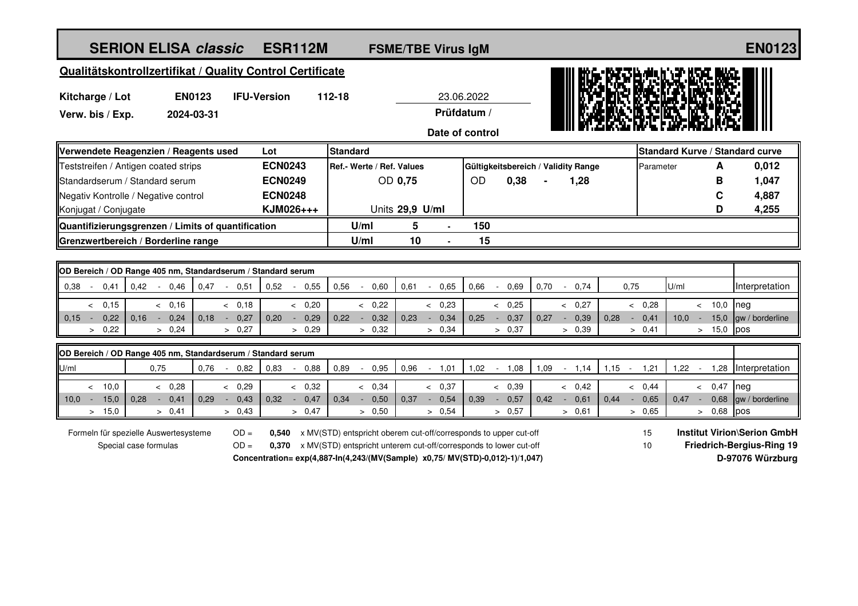## **ESR112M FSME/TBE Virus IgM END123 SERION ELISA** *classic*

## **Qualitätskontrollzertifikat / Quality Control Certificate**

| Kitcharge / Lot  | <b>EN0123</b> | <b>IFU-Version</b> | 112-18 | 23.06.2022      | IN. |
|------------------|---------------|--------------------|--------|-----------------|-----|
| Verw. bis / Exp. | 2024-03-31    |                    |        | Prüfdatum /     |     |
|                  |               |                    |        | Date of control |     |



|      | <b>OD Bereich / OD Range 405 nm, Standardserum / Standard serum</b> |  |             |      |  |      |      |  |        |      |      |  |      |  |      |      |        |      |        |      |        |      |      |        |      |            |                      |
|------|---------------------------------------------------------------------|--|-------------|------|--|------|------|--|--------|------|------|--|------|--|------|------|--------|------|--------|------|--------|------|------|--------|------|------------|----------------------|
|      | 0,38                                                                |  | 0.41        | 0.42 |  | 0.46 | 0.47 |  | 0,51   | 0,52 | 0.55 |  | 0.56 |  | 0,60 | 0,61 | 0,65   | 0,66 | 0.69   | 0.70 | 0.74   |      | 0.75 |        | U/ml |            | Interpretation       |
|      |                                                                     |  |             |      |  |      |      |  |        |      |      |  |      |  |      |      |        |      |        |      |        |      |      |        |      |            |                      |
|      |                                                                     |  | 0,15        |      |  | 0,16 |      |  | & 0.18 |      | 0,20 |  |      |  | 0,22 |      | 0,23   |      | 0,25   |      | & 0.27 |      |      | 0,28   |      | $10,0$ neg |                      |
| 0,15 |                                                                     |  | $0,22$ 0.16 |      |  | 0,24 | 0,18 |  | 0,27   | 0,20 | 0,29 |  | 0,22 |  | 0,32 | 0,23 | 0,34   | 0,25 | 0,37   | 0,27 | 0,39   | 0.28 |      | 0,41   | 10,0 |            | 15,0 gw / borderline |
|      |                                                                     |  | 0,22        |      |  | 0,24 |      |  | > 0.27 |      | 0,29 |  |      |  | 0.32 |      | > 0.34 |      | > 0.37 |      | > 0.39 |      |      | > 0.41 |      | $15,0$ pos |                      |

|      | OD Bereich / OD Range 405 nm, Standardserum / Standard serum |      |      |      |      |  |         |      |  |      |      |  |      |      |  |      |      |      |       |      |      |      |      |              |                              |
|------|--------------------------------------------------------------|------|------|------|------|--|---------|------|--|------|------|--|------|------|--|------|------|------|-------|------|------|------|------|--------------|------------------------------|
| U/m  |                                                              |      | 0,75 |      | 0,76 |  | 0.82    | 0.83 |  | 0,88 | 0,89 |  | 0.95 | 0.96 |  | 1,01 | 1,02 | 1,08 | 09. ا | .14  | 1.15 | .21  | .22  | .28          | <b>Interpretation</b>        |
|      |                                                              |      |      |      |      |  |         |      |  |      |      |  |      |      |  |      |      |      |       |      |      |      |      |              |                              |
|      |                                                              | 10,0 |      | 0,28 |      |  | 0,29    |      |  | 0.32 |      |  | 0.34 |      |  | 0,37 |      | 0,39 |       | 0.42 |      | 0.44 |      | 0,47         | Ineg                         |
| 10,0 |                                                              | 15,0 | 0,28 | 0.41 | 0,29 |  | 0,43    | 0,32 |  | 0,47 | 0,34 |  | 0,50 | 0,37 |  | 0,54 | 0,39 | 0,57 | 0.42  | 0,61 | 0,44 | 0,65 | 0,47 |              | 0,68 $\vert$ gw / borderline |
|      |                                                              | 15,0 |      | 0,41 |      |  | $-0.43$ |      |  | 0,47 |      |  | 0,50 |      |  | 0,54 |      | 0,57 |       | 0.61 |      | 0.65 |      | $0.68$ $pos$ |                              |

Formeln für spezielle Auswertesysteme Special case formulas

OD = 0,540 x MV(STD) entspricht oberem cut-off/corresponds to upper cut-off **Institut Virion\Serion GmbH** OD = 0,370 x MV(STD) entspricht unterem cut-off/corresponds to lower cut-off **Friedrich-Bergius-Ring 19 Concentration= exp(4,887-In(4,243/(MV(Sample) x0,75/ MV(STD)-0,012)-1)/1,047) D-97076 Würzburg**

15 10

ii Brach